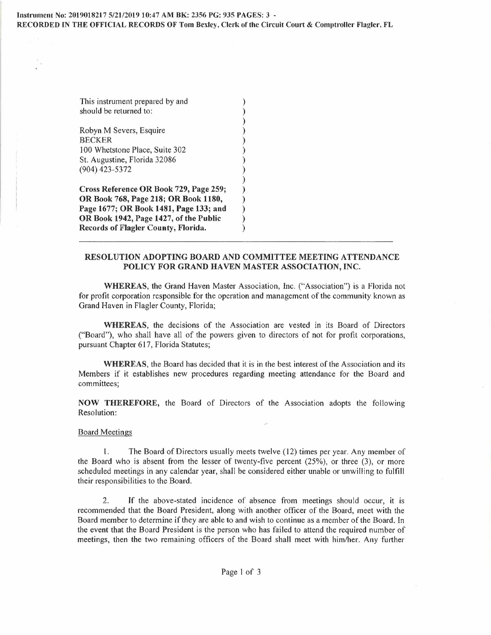This instrument prepared by and should be returned to:

Robyn M Severs, Esquire ) **BECKER** 100 Whetstone Place, Suite 302 St. Augustine, Florida 32086 ) (904) 423-5372 )

**Cross Reference OR Book 729, Page 259; ) OR Book 768, Page 218; OR Book 1180, ) Page 1677; OR Book 1481, Page 133; and ) OR Book 1942, Page 1427, of the Public ) Records of Flagler County, Florida. )** 

## **RESOLUTION ADOPTING BOARD AND COMMITTEE MEETING ATTENDANCE**  POLICY FOR GRAND HAVEN MASTER ASSOCIATION, INC.

)

)

**WHEREAS,** the Grand Haven Master Association, Inc. ("Association") is a Florida not for profit corporation responsible for the operation and management of the community known as Grand Haven in Flagler County, Florida;

**WHEREAS,** the decisions of the Association are vested in its Board of Directors ("Board"), who shall have all of the powers given to directors of not for profit corporations, pursuant Chapter 617, Florida Statutes;

**WHEREAS,** the Board has decided that it is in the best interest of the Association and its Members if it establishes new procedures regarding meeting attendance for the Board and committees;

**NOW THEREFORE,** the Board of Directors of the Association adopts the following Resolution:

## Board Meetings

l. The Board of Directors usually meets twelve (12) times per year. Any member of the Board who is absent from the lesser of twenty-five percent (25%), or three (3), or more scheduled meetings in any calendar year, shall be considered either unable or unwilling to fulfill their responsibilities to the Board.

2. If the above-stated incidence of absence from meetings should occur, it is recommended that the Board President, along with another officer of the Board, meet with the Board member to determine if they are able to and wish to continue as a member of the Board. In the event that the Board President is the person who has failed to attend the required number of meetings, then the two remaining officers of the Board shall meet with him/her. Any further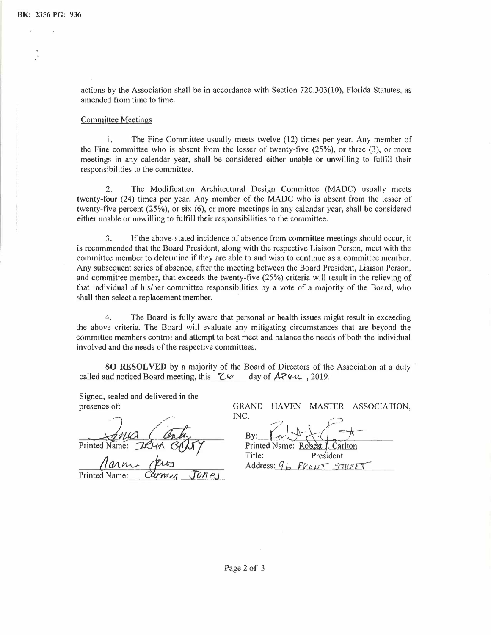actions by the Association shall be in accordance with Section 720.303(10), Florida Statutes, as amended from time to time.

## Committee Meetings

1. The Fine Committee usually meets twelve (12) times per year. Any member of the Fine committee who is absent from the lesser of twenty-five (25%), or three (3), or more meetings in any calendar year, shall be considered either unable or unwilling to fulfill their responsibilities to the committee.

2. The Modification Architectural Design Committee (MADC) usually meets twenty-four (24) times per year. Any member of the MADC who is absent from the lesser of twenty-five percent (25%), or six (6), or more meetings in any calendar year, shall be considered either unable or unwilling to fulfill their responsibilities to the committee.

3. If the above-stated incidence of absence from committee meetings should occur, it is recommended that the Board President, along with the respective Liaison Person, meet with the committee member to determine if they are able to and wish to continue as a committee member. Any subsequent series of absence, after the meeting between the Board President, Liaison Person, and committee member, that exceeds the twenty-five (25%) criteria will result in the relieving of that individual of his/her committee responsibilities by a vote of a majority of the Board, who shall then select a replacement member.

4. The Board is fully aware that personal or health issues might result in exceeding the above criteria. The Board will evaluate any mitigating circumstances that are beyond the committee members control and attempt to best meet and balance the needs of both the individual involved and the needs of the respective committees.

**SO RESOLVED** by a majority of the Board of Directors of the Association at a duly called and noticed Board meeting, this  $Z.\varnothing$  day of  $A Z \vee C$ , 2019.

Signed, sealed and delivered in the presence of:

Printed Name:

Printed Name: *Carmen Jone*,

GRAND HAVEN MASTER ASSOCIATION,

INC.  $Bv:$ 

Printed Name: Robert J Carlton Title: President Address:  $9<sub>h</sub>$ FRONT STREE